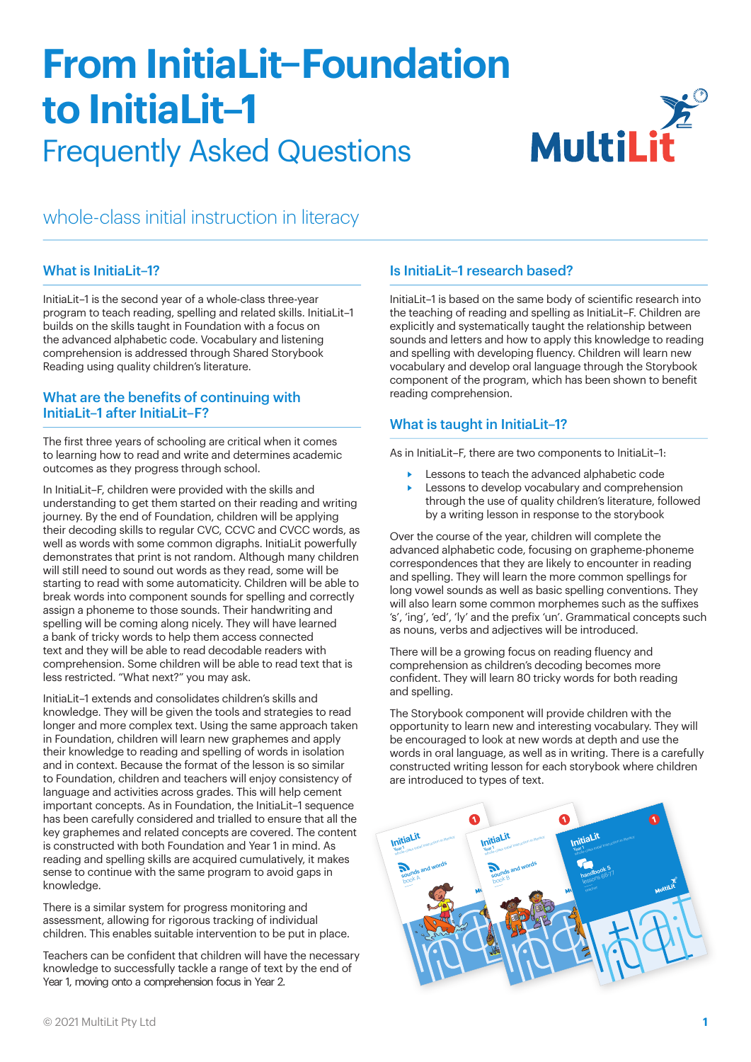# **From InitiaLit-Foundation** to InitiaLit-1 **Frequently Asked Questions**



whole-class initial instruction in literacy

## What is InitiaLit-1?

InitiaLit-1 is the second year of a whole-class three-year program to teach reading, spelling and related skills. InitiaLit-1 builds on the skills taught in Foundation with a focus on the advanced alphabetic code. Vocabulary and listening comprehension is addressed through Shared Storybook Reading using quality children's literature.

### What are the benefits of continuing with InitiaLit-1 after InitiaLit-F?

The first three years of schooling are critical when it comes to learning how to read and write and determines academic outcomes as they progress through school.

In InitiaLit-F, children were provided with the skills and understanding to get them started on their reading and writing journey. By the end of Foundation, children will be applying their decoding skills to regular CVC, CCVC and CVCC words, as well as words with some common digraphs. InitiaLit powerfully demonstrates that print is not random. Although many children will still need to sound out words as they read, some will be starting to read with some automaticity. Children will be able to break words into component sounds for spelling and correctly assign a phoneme to those sounds. Their handwriting and spelling will be coming along nicely. They will have learned a bank of tricky words to help them access connected text and they will be able to read decodable readers with comprehension. Some children will be able to read text that is less restricted. "What next?" you may ask.

InitiaLit-1 extends and consolidates children's skills and knowledge. They will be given the tools and strategies to read longer and more complex text. Using the same approach taken in Foundation, children will learn new graphemes and apply their knowledge to reading and spelling of words in isolation and in context. Because the format of the lesson is so similar to Foundation, children and teachers will enjoy consistency of language and activities across grades. This will help cement important concepts. As in Foundation, the InitiaLit-1 sequence has been carefully considered and trialled to ensure that all the key graphemes and related concepts are covered. The content is constructed with both Foundation and Year 1 in mind. As reading and spelling skills are acquired cumulatively, it makes sense to continue with the same program to avoid gaps in knowledge.

There is a similar system for progress monitoring and assessment, allowing for rigorous tracking of individual children. This enables suitable intervention to be put in place.

Teachers can be confident that children will have the necessary knowledge to successfully tackle a range of text by the end of Year 1, moving onto a comprehension focus in Year 2.

## Is InitiaLit-1 research based?

InitiaLit-1 is based on the same body of scientific research into the teaching of reading and spelling as InitiaLit-F. Children are explicitly and systematically taught the relationship between sounds and letters and how to apply this knowledge to reading and spelling with developing fluency. Children will learn new vocabulary and develop oral language through the Storybook component of the program, which has been shown to benefit reading comprehension.

## What is taught in InitiaLit-1?

As in InitiaLit-F, there are two components to InitiaLit-1:

- Lessons to teach the advanced alphabetic code
- Lessons to develop vocabulary and comprehension through the use of quality children's literature, followed by a writing lesson in response to the storybook

Over the course of the year, children will complete the advanced alphabetic code, focusing on grapheme-phoneme correspondences that they are likely to encounter in reading and spelling. They will learn the more common spellings for long yowel sounds as well as basic spelling conventions. They will also learn some common morphemes such as the suffixes 's', 'ing', 'ed', 'ly' and the prefix 'un'. Grammatical concepts such as nouns, verbs and adiectives will be introduced.

There will be a growing focus on reading fluency and comprehension as children's decoding becomes more confident. They will learn 80 tricky words for both reading and spelling.

The Storybook component will provide children with the opportunity to learn new and interesting vocabulary. They will be encouraged to look at new words at depth and use the words in oral language, as well as in writing. There is a carefully constructed writing lesson for each storybook where children are introduced to types of text.

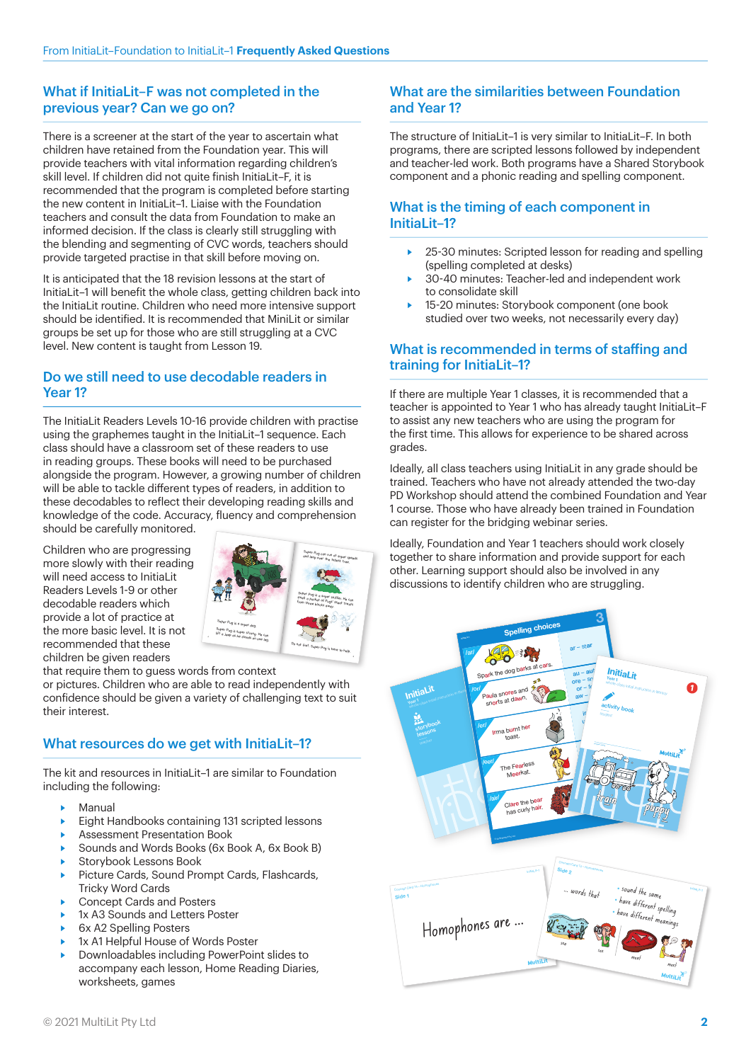## What if InitiaLit-F was not completed in the previous year? Can we go on?

There is a screener at the start of the year to ascertain what children have retained from the Foundation year. This will provide teachers with vital information regarding children's skill level. If children did not quite finish InitiaLit-F, it is recommended that the program is completed before starting the new content in Initial it-1 Liaise with the Foundation teachers and consult the data from Foundation to make an informed decision. If the class is clearly still struggling with the blending and segmenting of CVC words, teachers should provide targeted practise in that skill before moving on.

It is anticipated that the 18 revision lessons at the start of InitiaLit-1 will benefit the whole class, getting children back into the InitiaLit routine. Children who need more intensive support should be identified. It is recommended that MiniLit or similar groups be set up for those who are still struggling at a CVC level. New content is taught from Lesson 19.

## Do we still need to use decodable readers in Year<sub>1?</sub>

The InitiaLit Readers Levels 10-16 provide children with practise using the graphemes taught in the InitiaLit-1 sequence. Each class should have a classroom set of these readers to use in reading groups. These books will need to be purchased alongside the program. However, a growing number of children will be able to tackle different types of readers, in addition to these decodables to reflect their developing reading skills and knowledge of the code. Accuracy, fluency and comprehension should be carefully monitored.

Children who are progressing more slowly with their reading will need access to InitiaLit Readers Levels 1-9 or other decodable readers which provide a lot of practice at the more basic level. It is not recommended that these children be given readers



that require them to guess words from context or pictures. Children who are able to read independently with confidence should be given a variety of challenging text to suit their interest

# What resources do we get with InitiaLit-1?

The kit and resources in Initial it-1 are similar to Foundation including the following:

- Manual
- Eight Handbooks containing 131 scripted lessons
- Assessment Presentation Book
- Sounds and Words Books (6x Book A, 6x Book B) Storybook Lessons Book
- 
- Picture Cards, Sound Prompt Cards, Flashcards, **Tricky Word Cards**
- **Concept Cards and Posters**
- 1x A3 Sounds and Letters Poster
- 6x A2 Spelling Posters À
- 1x A1 Helpful House of Words Poster
- Downloadables including PowerPoint slides to accompany each lesson, Home Reading Diaries, worksheets, games

# What are the similarities between Foundation and Year 12

The structure of InitiaLit-1 is very similar to InitiaLit-F. In both programs, there are scripted lessons followed by independent and teacher-led work. Both programs have a Shared Storybook component and a phonic reading and spelling component.

# What is the timing of each component in InitiaLit-1?

- 25-30 minutes: Scripted lesson for reading and spelling (spelling completed at desks)
- 30-40 minutes: Teacher-led and independent work to consolidate skill
- 15-20 minutes: Storybook component (one book studied over two weeks, not necessarily every day)

## What is recommended in terms of staffing and training for InitiaLit-1?

If there are multiple Year 1 classes, it is recommended that a teacher is appointed to Year 1 who has already taught InitiaLit-F to assist any new teachers who are using the program for the first time. This allows for experience to be shared across grades.

Ideally, all class teachers using InitiaLit in any grade should be trained. Teachers who have not already attended the two-day PD Workshop should attend the combined Foundation and Year 1 course. Those who have already been trained in Foundation can register for the bridging webinar series.

Ideally, Foundation and Year 1 teachers should work closely together to share information and provide support for each other. Learning support should also be involved in any discussions to identify children who are struggling.